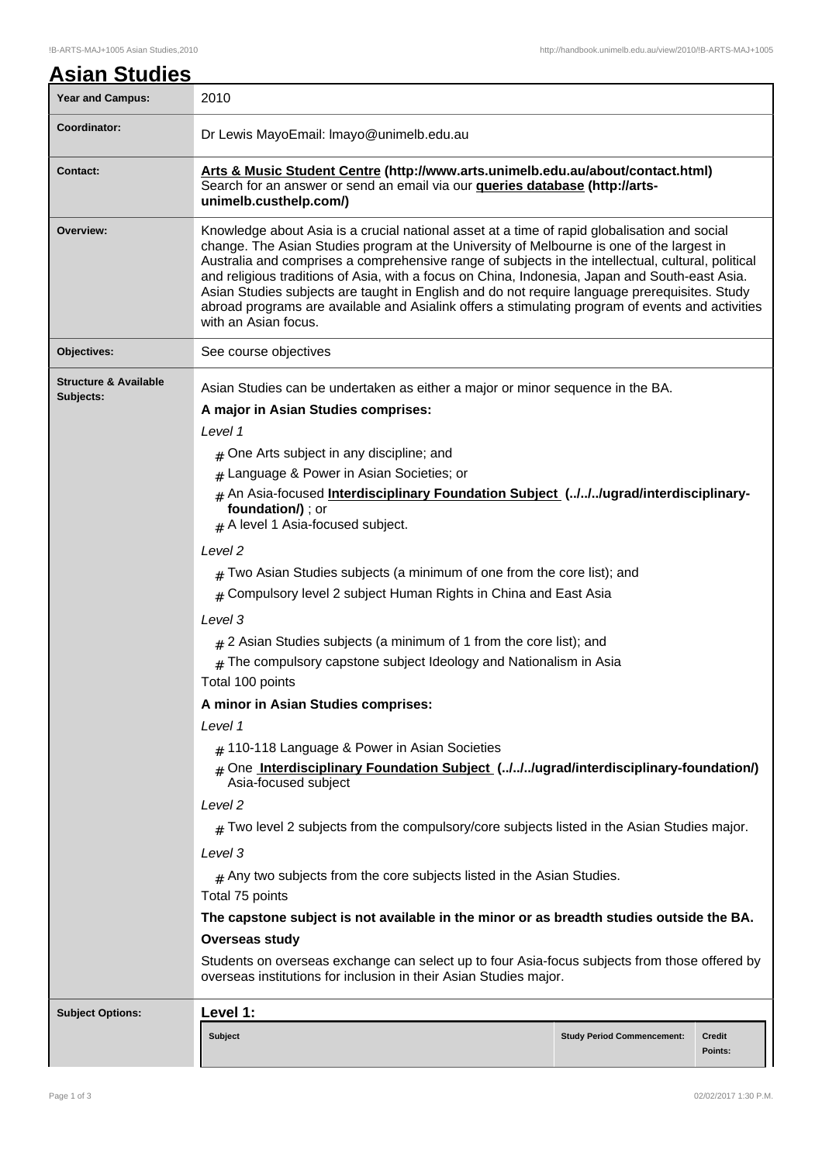| <b>Year and Campus:</b>                       | 2010                                                                                                                                                                                                                                                                                                                                                                                                                                                                                                                                                                                                                           |  |  |  |
|-----------------------------------------------|--------------------------------------------------------------------------------------------------------------------------------------------------------------------------------------------------------------------------------------------------------------------------------------------------------------------------------------------------------------------------------------------------------------------------------------------------------------------------------------------------------------------------------------------------------------------------------------------------------------------------------|--|--|--|
| Coordinator:                                  | Dr Lewis MayoEmail: Imayo@unimelb.edu.au                                                                                                                                                                                                                                                                                                                                                                                                                                                                                                                                                                                       |  |  |  |
| <b>Contact:</b>                               | Arts & Music Student Centre (http://www.arts.unimelb.edu.au/about/contact.html)<br>Search for an answer or send an email via our <b>queries database (http://arts-</b><br>unimelb.custhelp.com/)                                                                                                                                                                                                                                                                                                                                                                                                                               |  |  |  |
| Overview:                                     | Knowledge about Asia is a crucial national asset at a time of rapid globalisation and social<br>change. The Asian Studies program at the University of Melbourne is one of the largest in<br>Australia and comprises a comprehensive range of subjects in the intellectual, cultural, political<br>and religious traditions of Asia, with a focus on China, Indonesia, Japan and South-east Asia.<br>Asian Studies subjects are taught in English and do not require language prerequisites. Study<br>abroad programs are available and Asialink offers a stimulating program of events and activities<br>with an Asian focus. |  |  |  |
| Objectives:                                   | See course objectives                                                                                                                                                                                                                                                                                                                                                                                                                                                                                                                                                                                                          |  |  |  |
| <b>Structure &amp; Available</b><br>Subjects: | Asian Studies can be undertaken as either a major or minor sequence in the BA.<br>A major in Asian Studies comprises:<br>Level 1                                                                                                                                                                                                                                                                                                                                                                                                                                                                                               |  |  |  |
|                                               | $#$ One Arts subject in any discipline; and                                                                                                                                                                                                                                                                                                                                                                                                                                                                                                                                                                                    |  |  |  |
|                                               | # Language & Power in Asian Societies; or                                                                                                                                                                                                                                                                                                                                                                                                                                                                                                                                                                                      |  |  |  |
|                                               | # An Asia-focused Interdisciplinary Foundation Subject (.J.J.J.Jugrad/interdisciplinary-<br>foundation/); or<br>$#$ A level 1 Asia-focused subject.                                                                                                                                                                                                                                                                                                                                                                                                                                                                            |  |  |  |
|                                               | Level <sub>2</sub>                                                                                                                                                                                                                                                                                                                                                                                                                                                                                                                                                                                                             |  |  |  |
|                                               | $#$ Two Asian Studies subjects (a minimum of one from the core list); and<br>Compulsory level 2 subject Human Rights in China and East Asia                                                                                                                                                                                                                                                                                                                                                                                                                                                                                    |  |  |  |
|                                               | Level 3                                                                                                                                                                                                                                                                                                                                                                                                                                                                                                                                                                                                                        |  |  |  |
|                                               | $_{\#}$ 2 Asian Studies subjects (a minimum of 1 from the core list); and<br>$#$ The compulsory capstone subject Ideology and Nationalism in Asia<br>Total 100 points                                                                                                                                                                                                                                                                                                                                                                                                                                                          |  |  |  |
|                                               | A minor in Asian Studies comprises:                                                                                                                                                                                                                                                                                                                                                                                                                                                                                                                                                                                            |  |  |  |
|                                               | Level 1                                                                                                                                                                                                                                                                                                                                                                                                                                                                                                                                                                                                                        |  |  |  |
|                                               | # 110-118 Language & Power in Asian Societies<br># One Interdisciplinary Foundation Subject (.J.J.Jugrad/interdisciplinary-foundation/)<br>Asia-focused subject                                                                                                                                                                                                                                                                                                                                                                                                                                                                |  |  |  |
|                                               | Level 2                                                                                                                                                                                                                                                                                                                                                                                                                                                                                                                                                                                                                        |  |  |  |
|                                               | $_{\#}$ Two level 2 subjects from the compulsory/core subjects listed in the Asian Studies major.                                                                                                                                                                                                                                                                                                                                                                                                                                                                                                                              |  |  |  |
|                                               | Level 3                                                                                                                                                                                                                                                                                                                                                                                                                                                                                                                                                                                                                        |  |  |  |
|                                               | $#$ Any two subjects from the core subjects listed in the Asian Studies.                                                                                                                                                                                                                                                                                                                                                                                                                                                                                                                                                       |  |  |  |
|                                               | Total 75 points                                                                                                                                                                                                                                                                                                                                                                                                                                                                                                                                                                                                                |  |  |  |
|                                               | The capstone subject is not available in the minor or as breadth studies outside the BA.                                                                                                                                                                                                                                                                                                                                                                                                                                                                                                                                       |  |  |  |
|                                               | Overseas study                                                                                                                                                                                                                                                                                                                                                                                                                                                                                                                                                                                                                 |  |  |  |
|                                               | Students on overseas exchange can select up to four Asia-focus subjects from those offered by<br>overseas institutions for inclusion in their Asian Studies major.                                                                                                                                                                                                                                                                                                                                                                                                                                                             |  |  |  |
| <b>Subject Options:</b>                       | Level 1:                                                                                                                                                                                                                                                                                                                                                                                                                                                                                                                                                                                                                       |  |  |  |
|                                               | <b>Subject</b><br><b>Study Period Commencement:</b><br><b>Credit</b>                                                                                                                                                                                                                                                                                                                                                                                                                                                                                                                                                           |  |  |  |
|                                               | Points:                                                                                                                                                                                                                                                                                                                                                                                                                                                                                                                                                                                                                        |  |  |  |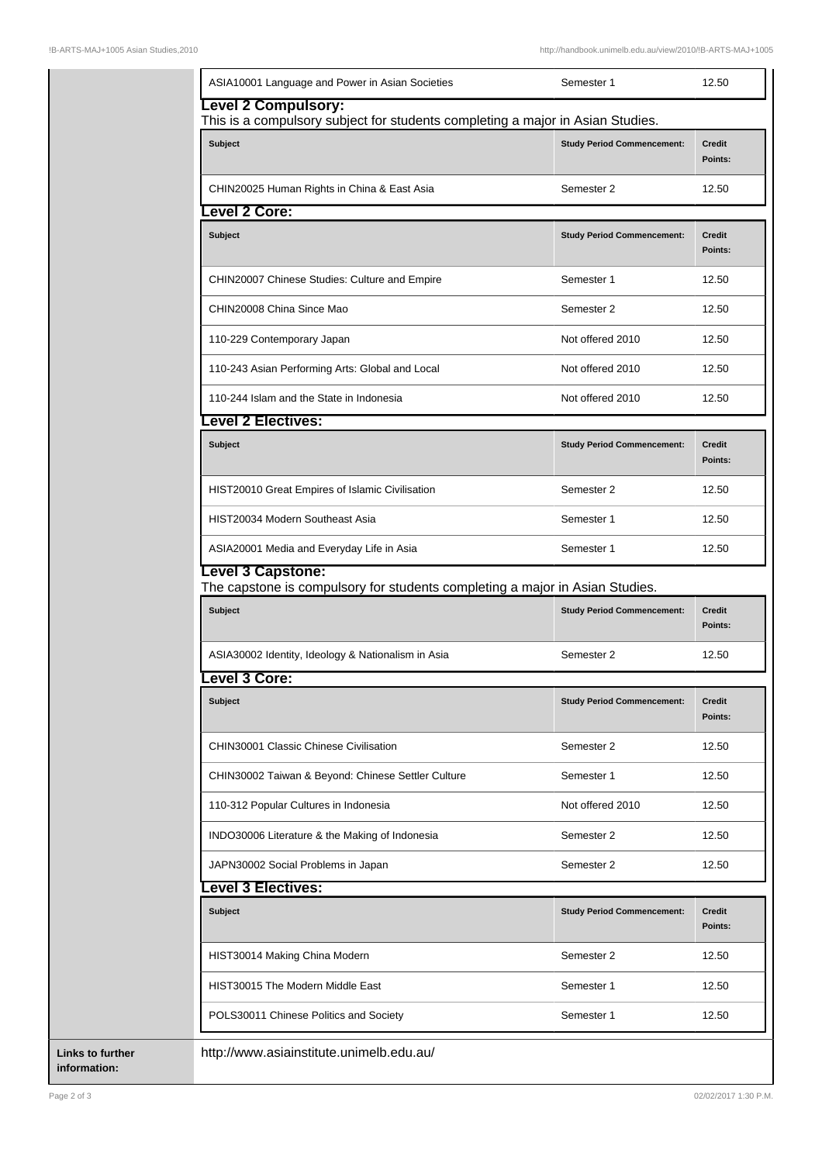| ASIA10001 Language and Power in Asian Societies                                                              | Semester 1                        | 12.50                    |
|--------------------------------------------------------------------------------------------------------------|-----------------------------------|--------------------------|
| <b>Level 2 Compulsory:</b><br>This is a compulsory subject for students completing a major in Asian Studies. |                                   |                          |
| Subject                                                                                                      | <b>Study Period Commencement:</b> | <b>Credit</b><br>Points: |
| CHIN20025 Human Rights in China & East Asia                                                                  | Semester 2                        | 12.50                    |
| evel 2 Core:                                                                                                 |                                   |                          |
| Subject                                                                                                      | <b>Study Period Commencement:</b> | <b>Credit</b><br>Points: |
| CHIN20007 Chinese Studies: Culture and Empire                                                                | Semester 1                        | 12.50                    |
| CHIN20008 China Since Mao                                                                                    | Semester 2                        | 12.50                    |
| 110-229 Contemporary Japan                                                                                   | Not offered 2010                  | 12.50                    |
| 110-243 Asian Performing Arts: Global and Local                                                              | Not offered 2010                  | 12.50                    |
| 110-244 Islam and the State in Indonesia                                                                     | Not offered 2010                  | 12.50                    |
| <b>Level 2 Electives:</b>                                                                                    |                                   |                          |
| Subject                                                                                                      | <b>Study Period Commencement:</b> | <b>Credit</b><br>Points: |
| HIST20010 Great Empires of Islamic Civilisation                                                              | Semester 2                        | 12.50                    |
| HIST20034 Modern Southeast Asia                                                                              | Semester 1                        | 12.50                    |
| ASIA20001 Media and Everyday Life in Asia                                                                    | Semester 1                        | 12.50                    |
| <b>Level 3 Capstone:</b><br>The capstone is compulsory for students completing a major in Asian Studies.     |                                   |                          |
| Subject                                                                                                      | <b>Study Period Commencement:</b> | <b>Credit</b><br>Points: |
| ASIA30002 Identity, Ideology & Nationalism in Asia                                                           | Semester 2                        | 12.50                    |
| evel 3 Core:                                                                                                 |                                   |                          |
| Subject                                                                                                      | <b>Study Period Commencement:</b> | <b>Credit</b><br>Points: |
| CHIN30001 Classic Chinese Civilisation                                                                       | Semester 2                        | 12.50                    |
| CHIN30002 Taiwan & Beyond: Chinese Settler Culture                                                           | Semester 1                        | 12.50                    |
| 110-312 Popular Cultures in Indonesia                                                                        | Not offered 2010                  | 12.50                    |
| INDO30006 Literature & the Making of Indonesia                                                               | Semester 2                        | 12.50                    |
| JAPN30002 Social Problems in Japan                                                                           | Semester 2                        | 12.50                    |
| evel 3 Electives:                                                                                            |                                   |                          |
| Subject                                                                                                      | <b>Study Period Commencement:</b> | <b>Credit</b><br>Points: |
| HIST30014 Making China Modern                                                                                | Semester 2                        | 12.50                    |
|                                                                                                              |                                   |                          |
| HIST30015 The Modern Middle East                                                                             | Semester 1                        | 12.50                    |
| POLS30011 Chinese Politics and Society                                                                       | Semester 1                        | 12.50                    |